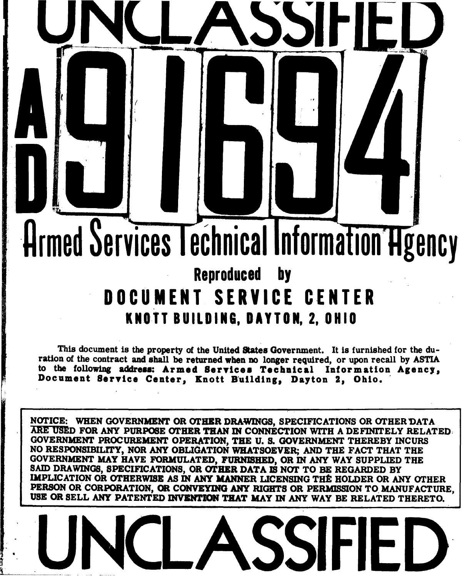## Armed Services Technical Information Hgency Reproduced **by DOCUMENT** SERVICE **CENTER KNOTT BUILDING, DAYTON, 2, OHIO**

**U N(ULASSWILD**

*/*

This document is the property of the United States Government. It is furnished for the duration of the contract and shall be returned when **no** longer required, or upon recall **by** ASTIA to the following address: Armed Services Technical Information Agency, Document Service Center, Knott Building, Dayton 2, Ohio.

**NOTICE:** WHEN **GOVERNMENT** OR OTHER DRAWINGS, **SPECIFICATIONS** OR OTHER DATA X1rURD FOR **ANY** PURPOSE OTHER **THAN IN CONNECTION** WITH **A** DEFINITELY RELATED **GOVERNMENT** PROCUREMENT **OPERATION,** THE **U. S. GOVERNMENT** THEREBY INCURS **NO RESPONSIBILITY,** NOR **ANY OBLIGATION** WHATSOEVER; **AND THE FACT** THAT THE **GOVERNMENT** MAY **HAVE** FORMULATED, **FURNISHED,** OR **IN** ANY WAY **SUPPLIED** THE **SAID** DRAWINGS, **SPECIFICATIONS,** OR OTHER **DATA** IS **NOT** TO BE REGARDED BY **IMPLICATION OR OTHERWISE AS IN ANY MANNER LICENSING THE HOLDER OR ANY OTHER** PERSON OR CORPORATION, **OR CONVEYING ANY** RIGHTS OR PERMISSION TO **MANUFACTURE,** USE OR SELL ANY PATENTED INVENTION THAT MAY IN ANY WAY BE RELATED THERETO.

**UNCLASSIFIED**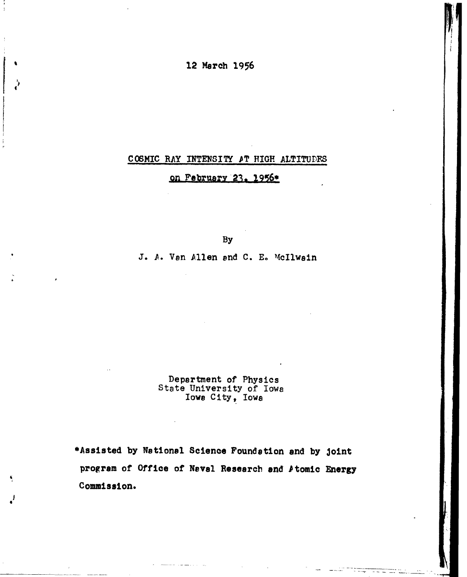12 March *1956*

## **COSMIC** RAY **INTENSIIY** PT HIGH ALTITUDFS

on **February** 23. 1956\*

By

J. *A.* Van Allen and **C. E.** McIlwain

Department of Physics State University of Iowa Iowa City, Iowa

\*Assisted **by** National Science Foundation and **by** joint program of Office of Naval Research and Atomic Energy Commission.

I 4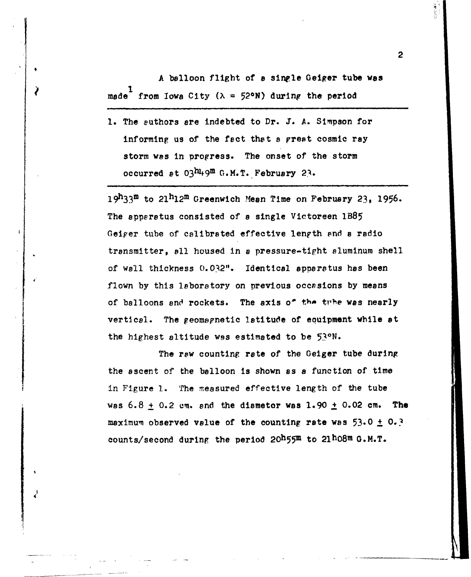A balloon flight of **a** sinple Geiger tube **was** made<sup>1</sup> from Iowa City ( $\lambda = 52$ °N) during the period

**1.** The authors are indebted to Dr. J. A. Simpson for informing us of the fact that **a** prept cosmic ray storm was in progress. The onset of the storm occurred at  $03^h$ <sup>1</sup>,9<sup>m</sup> G.M.T. February 23.

19h3 3m to 21h12m Greenwich Mean Time on February **23, 1956.** The apparatus consisted of **a** single Victoreen IB85 Geiger tube of calibrated effective length and a radio transmitter, **all** housed In a pressure-tight aluminum shell of wall thickness 0.032". Identical apparatus has been flown by this laboratory on previous occasions by means of balloons and rockets. The axis o<sup>f</sup> the tithe was nearly vertical. The geomapnetic latitude of equipment while at the highest altitude was estimated to be 53°N.

The raw counting rate of the Geiger tube during the ascent of the balloon is shown as **a** function of time in Figure 1. The measured effective length of the tube was 6.8 **+** 0.2 cm. and the diametor was 1.90 **+** 0.02 cm. The maximum observed value of the counting rate was 53.0 **+ 0.** counts/second during the period  $20^h$ 55 $m$  to  $21^h$ 08 $m$  G.M.T.

4

2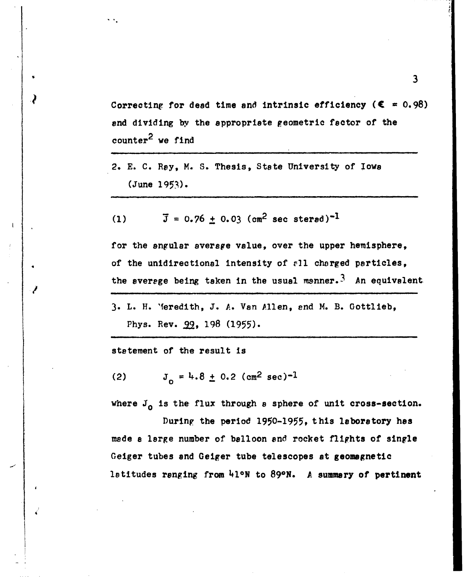Correcting for dead time and intrinsic efficiency  $(\mathbf{\mathsf{C}} = 0.98)$ end dividing by the appropriate geometric factor of the counter<sup>2</sup> we find

2. **E. C. Ray,** M. **S.** Thesis, State University of Iowa (June 1953).

(1) 
$$
\bar{J} = 0.76 \pm 0.03
$$
 (cm<sup>2</sup> sec strength)<sup>-1</sup>

for the angular average value, over the upper hemisphere, of the unidirectional intensity of **r1l** charged particles, the average being taken in the usual manner.<sup>3</sup> An equivalent

**3.** L. H. 'Meredith, **J.** A. Van Allen, end M. B. Gottlieb, Phys. Rev.  $99, 198$  (1955).

statement of the result is

(2)  $J_0 = 4.8 \pm 0.2$  (cm<sup>2</sup> sec)<sup>-1</sup>

where  $J_0$  is the flux through a sphere of unit cross-section.

During the period 1950-1955, this laboratory has made **a** large number of balloon and rocket flights of single Geiger tubes and Geiger tube telescopes at geomagnetic latitudes ranging from **41ON** to **890N. A** summary of pertinent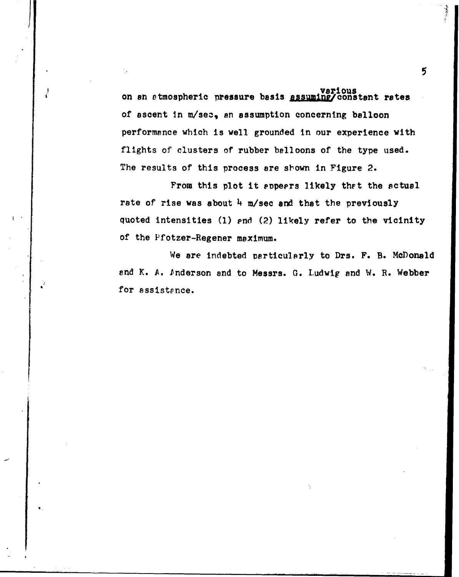**various** on an atmospheric pressure basis assuming/constant rates of ascent in m/sec, an assumption concerning balloon performance which is well grounded in our experience with flights of clusters of rubber belloons of the type used. The results of this process are sbown in Figure **2.**

From this plot it eppeers likely that the actual rate of rise was about 4 m/sec and that the previously quoted intensities **(1)** pnd **(2)** likely refer to the vicinity **of** the Pfotzer-Regener maximum.

We are indebted particularly to Drs. F. B. McDonald and K. **A.** Inderson and to Messrs. **G.** Ludwig and **W.** R. Webber for assistence.

**S . .. .... . ..**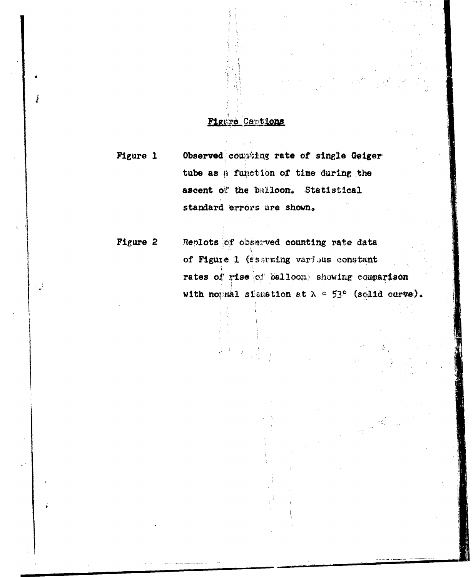## Figure Captions

Figure 1 Observed counting rate of single Geiger tube as a function of time during the ascent of the balloon. Statistical standard errors are shown.

Figure 2 Replots of observed counting rate data of Figure 1 (esseming various constant rates of rise of balloons showing comparison with normal siemation at  $\lambda = 53^{\circ}$  (solid curve).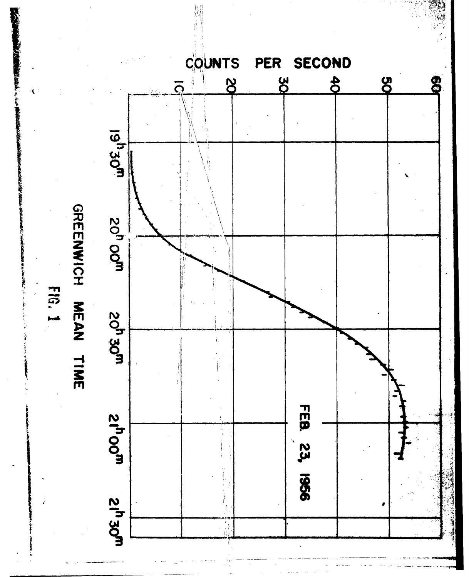SECOND COUNTS PER  $8<sup>o</sup>$  $\frac{4}{5}$  $\mathbf{g}$  $8<sup>o</sup>$ ධි **19<sup>1</sup>30m** GREENWICH MEAN TIME **20<sup>h</sup> 00m** EC.N **20<sup>h</sup> 30<sup>m</sup>** FEB. 23, 1956 **2100m 21<sup>h</sup> 30m**